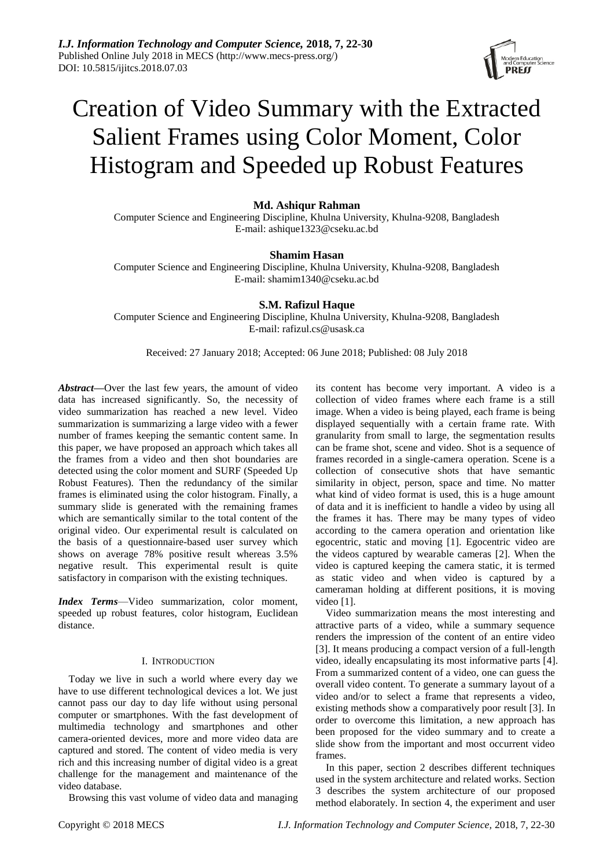

# Creation of Video Summary with the Extracted Salient Frames using Color Moment, Color Histogram and Speeded up Robust Features

## **Md. Ashiqur Rahman**

Computer Science and Engineering Discipline, Khulna University, Khulna-9208, Bangladesh E-mail: ashique1323@cseku.ac.bd

## **Shamim Hasan**

Computer Science and Engineering Discipline, Khulna University, Khulna-9208, Bangladesh E-mail: shamim1340@cseku.ac.bd

## **S.M. Rafizul Haque**

Computer Science and Engineering Discipline, Khulna University, Khulna-9208, Bangladesh E-mail: rafizul.cs@usask.ca

Received: 27 January 2018; Accepted: 06 June 2018; Published: 08 July 2018

*Abstract—*Over the last few years, the amount of video data has increased significantly. So, the necessity of video summarization has reached a new level. Video summarization is summarizing a large video with a fewer number of frames keeping the semantic content same. In this paper, we have proposed an approach which takes all the frames from a video and then shot boundaries are detected using the color moment and SURF (Speeded Up Robust Features). Then the redundancy of the similar frames is eliminated using the color histogram. Finally, a summary slide is generated with the remaining frames which are semantically similar to the total content of the original video. Our experimental result is calculated on the basis of a questionnaire-based user survey which shows on average 78% positive result whereas 3.5% negative result. This experimental result is quite satisfactory in comparison with the existing techniques.

*Index Terms*—Video summarization, color moment, speeded up robust features, color histogram, Euclidean distance.

## I. INTRODUCTION

Today we live in such a world where every day we have to use different technological devices a lot. We just cannot pass our day to day life without using personal computer or smartphones. With the fast development of multimedia technology and smartphones and other camera-oriented devices, more and more video data are captured and stored. The content of video media is very rich and this increasing number of digital video is a great challenge for the management and maintenance of the video database.

Browsing this vast volume of video data and managing

its content has become very important. A video is a collection of video frames where each frame is a still image. When a video is being played, each frame is being displayed sequentially with a certain frame rate. With granularity from small to large, the segmentation results can be frame shot, scene and video. Shot is a sequence of frames recorded in a single-camera operation. Scene is a collection of consecutive shots that have semantic similarity in object, person, space and time. No matter what kind of video format is used, this is a huge amount of data and it is inefficient to handle a video by using all the frames it has. There may be many types of video according to the camera operation and orientation like egocentric, static and moving [1]. Egocentric video are the videos captured by wearable cameras [2]. When the video is captured keeping the camera static, it is termed as static video and when video is captured by a cameraman holding at different positions, it is moving video [1].

Video summarization means the most interesting and attractive parts of a video, while a summary sequence renders the impression of the content of an entire video [3]. It means producing a compact version of a full-length video, ideally encapsulating its most informative parts [4]. From a summarized content of a video, one can guess the overall video content. To generate a summary layout of a video and/or to select a frame that represents a video, existing methods show a comparatively poor result [3]. In order to overcome this limitation, a new approach has been proposed for the video summary and to create a slide show from the important and most occurrent video frames.

In this paper, section 2 describes different techniques used in the system architecture and related works. Section 3 describes the system architecture of our proposed method elaborately. In section 4, the experiment and user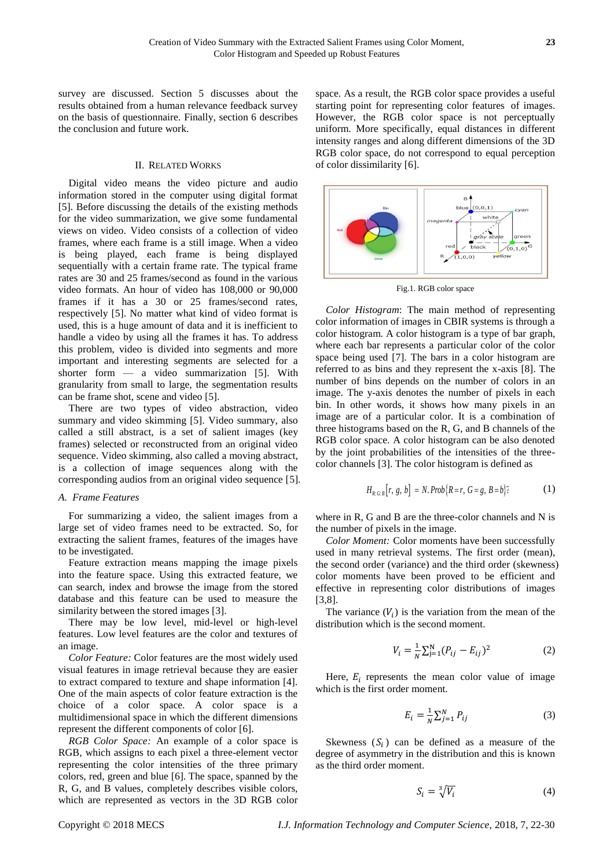survey are discussed. Section 5 discusses about the results obtained from a human relevance feedback survey on the basis of questionnaire. Finally, section 6 describes the conclusion and future work.

#### II. RELATED WORKS

Digital video means the video picture and audio information stored in the computer using digital format [5]. Before discussing the details of the existing methods for the video summarization, we give some fundamental views on video. Video consists of a collection of video frames, where each frame is a still image. When a video is being played, each frame is being displayed sequentially with a certain frame rate. The typical frame rates are 30 and 25 frames/second as found in the various video formats. An hour of video has 108,000 or 90,000 frames if it has a 30 or 25 frames/second rates, respectively [5]. No matter what kind of video format is used, this is a huge amount of data and it is inefficient to handle a video by using all the frames it has. To address this problem, video is divided into segments and more important and interesting segments are selected for a shorter form — a video summarization [5]. With granularity from small to large, the segmentation results can be frame shot, scene and video [5].

There are two types of video abstraction, video summary and video skimming [5]. Video summary, also called a still abstract, is a set of salient images (key frames) selected or reconstructed from an original video sequence. Video skimming, also called a moving abstract*,*  is a collection of image sequences along with the corresponding audios from an original video sequence [5].

#### *A. Frame Features*

For summarizing a video, the salient images from a large set of video frames need to be extracted. So, for extracting the salient frames, features of the images have to be investigated.

Feature extraction means mapping the image pixels into the feature space. Using this extracted feature, we can search, index and browse the image from the stored database and this feature can be used to measure the similarity between the stored images [3].

There may be low level, mid-level or high-level features. Low level features are the color and textures of an image.

*Color Feature:* Color features are the most widely used visual features in image retrieval because they are easier to extract compared to texture and shape information [4]. One of the main aspects of color feature extraction is the choice of a color space. A color space is a multidimensional space in which the different dimensions represent the different components of color [6].

*RGB Color Space:* An example of a color space is RGB, which assigns to each pixel a three-element vector representing the color intensities of the three primary colors, red, green and blue [6]. The space, spanned by the R, G, and B values, completely describes visible colors, which are represented as vectors in the 3D RGB color

space. As a result, the RGB color space provides a useful starting point for representing color features of images. However, the RGB color space is not perceptually uniform. More specifically, equal distances in different intensity ranges and along different dimensions of the 3D RGB color space, do not correspond to equal perception of color dissimilarity [6].



Fig.1. RGB color space

*Color Histogram*: The main method of representing color information of images in CBIR systems is through a color histogram. A color histogram is a type of bar graph, where each bar represents a particular color of the color space being used [7]. The bars in a color histogram are referred to as bins and they represent the x-axis [8]. The number of bins depends on the number of colors in an image. The y-axis denotes the number of pixels in each bin. In other words, it shows how many pixels in an image are of a particular color. It is a combination of three histograms based on the R, G, and B channels of the RGB color space. A color histogram can be also denoted by the joint probabilities of the intensities of the threecolor channels [3]. The color histogram is defined as

$$
H_{R.G.B}[r, g, b] = N. Prob{R=r, G=g, B=b}.
$$
 (1)

where in R, G and B are the three-color channels and N is the number of pixels in the image.

*Color Moment:* Color moments have been successfully used in many retrieval systems. The first order (mean), the second order (variance) and the third order (skewness) color moments have been proved to be efficient and effective in representing color distributions of images [3,8].

The variance  $(V_i)$  is the variation from the mean of the distribution which is the second moment.

$$
V_i = \frac{1}{N} \sum_{j=1}^{N} (P_{ij} - E_{ij})^2
$$
 (2)

Here,  $E_i$  represents the mean color value of image which is the first order moment.

$$
E_i = \frac{1}{N} \sum_{j=1}^{N} P_{ij}
$$
 (3)

Skewness  $(S_i)$  can be defined as a measure of the degree of asymmetry in the distribution and this is known as the third order moment.

$$
S_i = \sqrt[3]{V_i} \tag{4}
$$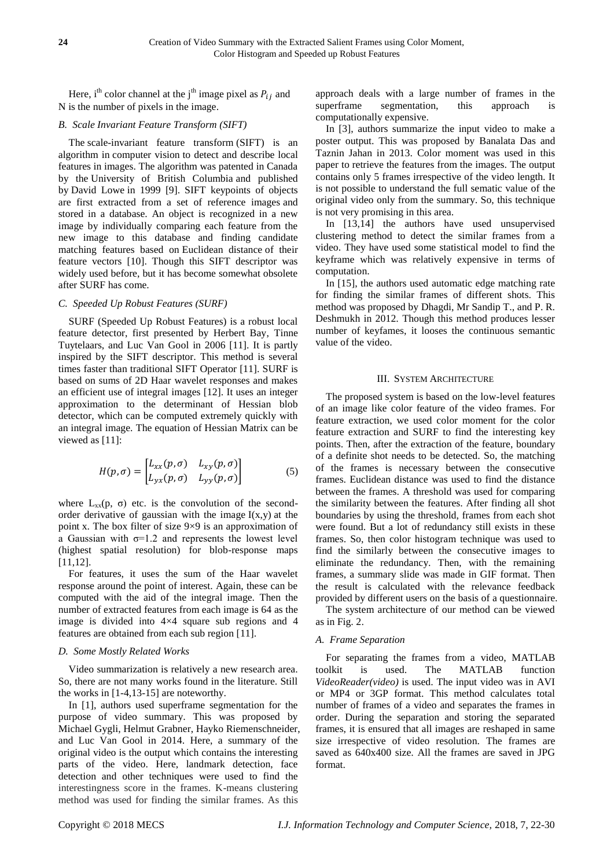Here, i<sup>th</sup> color channel at the j<sup>th</sup> image pixel as  $P_{ij}$  and N is the number of pixels in the image.

## *B. Scale Invariant Feature Transform (SIFT)*

The scale-invariant feature transform (SIFT) is an algorithm in computer vision to detect and describe local features in images. The algorithm was patented in Canada by the University of British Columbia and published by David Lowe in 1999 [9]. SIFT keypoints of objects are first extracted from a set of reference images and stored in a database. An object is recognized in a new image by individually comparing each feature from the new image to this database and finding candidate matching features based on Euclidean distance of their feature vectors [10]. Though this SIFT descriptor was widely used before, but it has become somewhat obsolete after SURF has come.

## *C. Speeded Up Robust Features (SURF)*

SURF (Speeded Up Robust Features) is a robust local feature detector, first presented by Herbert Bay, Tinne Tuytelaars, and Luc Van Gool in 2006 [11]. It is partly inspired by the SIFT descriptor. This method is several times faster than traditional SIFT Operator [11]. SURF is based on sums of 2D Haar wavelet responses and makes an efficient use of integral images [12]. It uses an integer approximation to the determinant of Hessian blob detector, which can be computed extremely quickly with an integral image. The equation of Hessian Matrix can be viewed as [11]:

$$
H(p,\sigma) = \begin{bmatrix} L_{xx}(p,\sigma) & L_{xy}(p,\sigma) \\ L_{yx}(p,\sigma) & L_{yy}(p,\sigma) \end{bmatrix}
$$
 (5)

where  $L_{xx}(p, \sigma)$  etc. is the convolution of the secondorder derivative of gaussian with the image  $I(x,y)$  at the point x. The box filter of size  $9 \times 9$  is an approximation of a Gaussian with  $\sigma=1.2$  and represents the lowest level (highest spatial resolution) for blob-response maps [11,12].

For features, it uses the sum of the Haar wavelet response around the point of interest. Again, these can be computed with the aid of the integral image. Then the number of extracted features from each image is 64 as the image is divided into  $4 \times 4$  square sub regions and 4 features are obtained from each sub region [11].

#### *D. Some Mostly Related Works*

Video summarization is relatively a new research area. So, there are not many works found in the literature. Still the works in [1-4,13-15] are noteworthy.

In [1], authors used superframe segmentation for the purpose of video summary. This was proposed by Michael Gygli, Helmut Grabner, Hayko Riemenschneider, and Luc Van Gool in 2014. Here, a summary of the original video is the output which contains the interesting parts of the video. Here, landmark detection, face detection and other techniques were used to find the interestingness score in the frames. K-means clustering method was used for finding the similar frames. As this

approach deals with a large number of frames in the superframe segmentation, this approach is computationally expensive.

In [3], authors summarize the input video to make a poster output. This was proposed by Banalata Das and Taznin Jahan in 2013. Color moment was used in this paper to retrieve the features from the images. The output contains only 5 frames irrespective of the video length. It is not possible to understand the full sematic value of the original video only from the summary. So, this technique is not very promising in this area.

In [13,14] the authors have used unsupervised clustering method to detect the similar frames from a video. They have used some statistical model to find the keyframe which was relatively expensive in terms of computation.

In [15], the authors used automatic edge matching rate for finding the similar frames of different shots. This method was proposed by Dhagdi, Mr Sandip T., and P. R. Deshmukh in 2012. Though this method produces lesser number of keyfames, it looses the continuous semantic value of the video.

### III. SYSTEM ARCHITECTURE

The proposed system is based on the low-level features of an image like color feature of the video frames. For feature extraction, we used color moment for the color feature extraction and SURF to find the interesting key points. Then, after the extraction of the feature, boundary of a definite shot needs to be detected. So, the matching of the frames is necessary between the consecutive frames. Euclidean distance was used to find the distance between the frames. A threshold was used for comparing the similarity between the features. After finding all shot boundaries by using the threshold, frames from each shot were found. But a lot of redundancy still exists in these frames. So, then color histogram technique was used to find the similarly between the consecutive images to eliminate the redundancy. Then, with the remaining frames, a summary slide was made in GIF format. Then the result is calculated with the relevance feedback provided by different users on the basis of a questionnaire.

The system architecture of our method can be viewed as in Fig. 2.

## *A. Frame Separation*

For separating the frames from a video, MATLAB toolkit is used. The MATLAB function *VideoReader(video)* is used. The input video was in AVI or MP4 or 3GP format. This method calculates total number of frames of a video and separates the frames in order. During the separation and storing the separated frames, it is ensured that all images are reshaped in same size irrespective of video resolution. The frames are saved as 640x400 size. All the frames are saved in JPG format.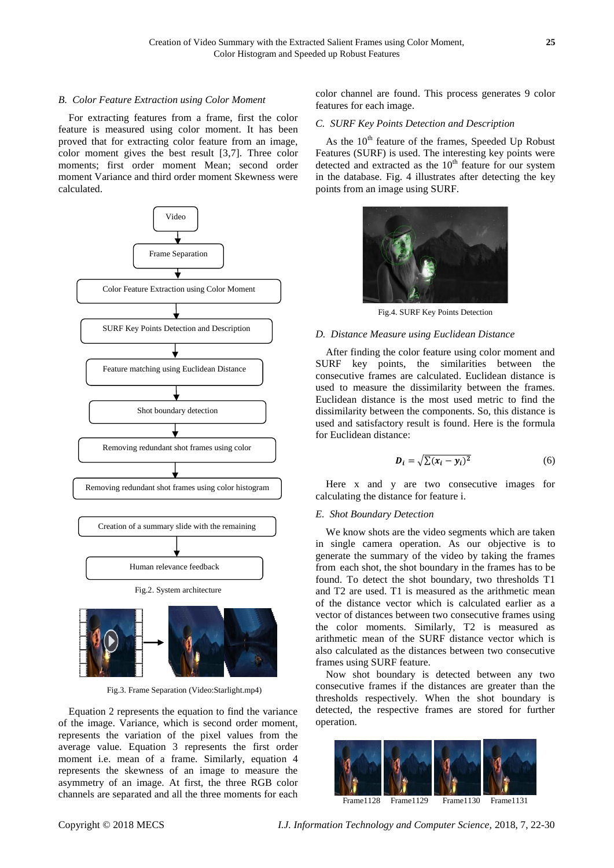## *B. Color Feature Extraction using Color Moment*

For extracting features from a frame, first the color feature is measured using color moment. It has been proved that for extracting color feature from an image, color moment gives the best result [3,7]. Three color moments; first order moment Mean; second order moment Variance and third order moment Skewness were calculated.



Fig.3. Frame Separation (Video:Starlight.mp4)

Equation 2 represents the equation to find the variance of the image. Variance, which is second order moment, represents the variation of the pixel values from the average value. Equation 3 represents the first order moment i.e. mean of a frame. Similarly, equation 4 represents the skewness of an image to measure the asymmetry of an image. At first, the three RGB color channels are separated and all the three moments for each

color channel are found. This process generates 9 color features for each image.

## *C. SURF Key Points Detection and Description*

As the  $10<sup>th</sup>$  feature of the frames, Speeded Up Robust Features (SURF) is used. The interesting key points were detected and extracted as the  $10<sup>th</sup>$  feature for our system in the database. Fig. 4 illustrates after detecting the key points from an image using SURF.



Fig.4. SURF Key Points Detection

#### *D. Distance Measure using Euclidean Distance*

After finding the color feature using color moment and SURF key points, the similarities between the consecutive frames are calculated. Euclidean distance is used to measure the dissimilarity between the frames. Euclidean distance is the most used metric to find the dissimilarity between the components. So, this distance is used and satisfactory result is found. Here is the formula for Euclidean distance:

$$
D_i = \sqrt{\sum (x_i - y_i)^2} \tag{6}
$$

Here x and y are two consecutive images for calculating the distance for feature i.

#### *E. Shot Boundary Detection*

We know shots are the video segments which are taken in single camera operation. As our objective is to generate the summary of the video by taking the frames from each shot, the shot boundary in the frames has to be found. To detect the shot boundary, two thresholds T1 and T2 are used. T1 is measured as the arithmetic mean of the distance vector which is calculated earlier as a vector of distances between two consecutive frames using the color moments. Similarly, T2 is measured as arithmetic mean of the SURF distance vector which is also calculated as the distances between two consecutive frames using SURF feature.

Now shot boundary is detected between any two consecutive frames if the distances are greater than the thresholds respectively. When the shot boundary is detected, the respective frames are stored for further operation.

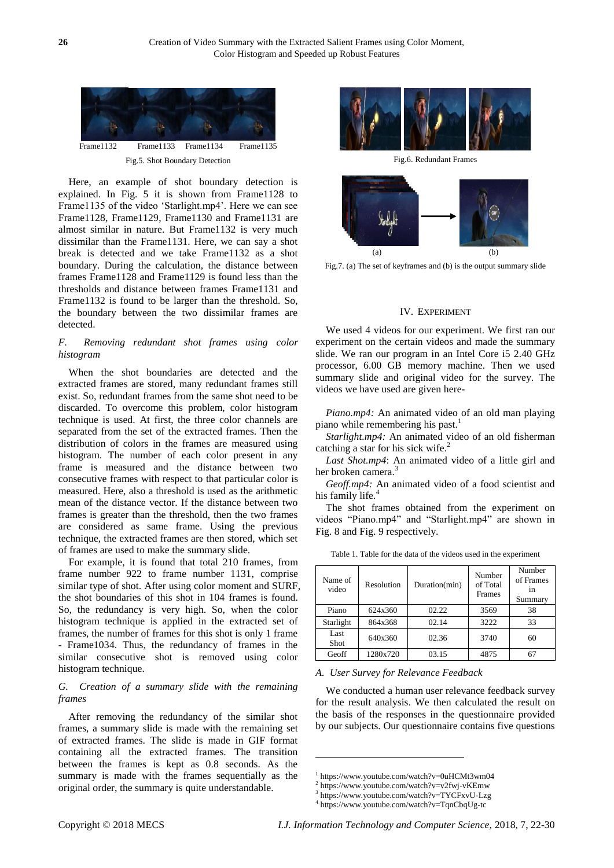

Here, an example of shot boundary detection is explained. In Fig. 5 it is shown from Frame1128 to Frame1135 of the video 'Starlight.mp4'. Here we can see Frame1128, Frame1129, Frame1130 and Frame1131 are almost similar in nature. But Frame1132 is very much dissimilar than the Frame1131. Here, we can say a shot break is detected and we take Frame1132 as a shot boundary. During the calculation, the distance between frames Frame1128 and Frame1129 is found less than the thresholds and distance between frames Frame1131 and Frame1132 is found to be larger than the threshold. So, the boundary between the two dissimilar frames are detected.

## *F. Removing redundant shot frames using color histogram*

When the shot boundaries are detected and the extracted frames are stored, many redundant frames still exist. So, redundant frames from the same shot need to be discarded. To overcome this problem, color histogram technique is used. At first, the three color channels are separated from the set of the extracted frames. Then the distribution of colors in the frames are measured using histogram. The number of each color present in any frame is measured and the distance between two consecutive frames with respect to that particular color is measured. Here, also a threshold is used as the arithmetic mean of the distance vector. If the distance between two frames is greater than the threshold, then the two frames are considered as same frame. Using the previous technique, the extracted frames are then stored, which set of frames are used to make the summary slide.

For example, it is found that total 210 frames, from frame number 922 to frame number 1131, comprise similar type of shot. After using color moment and SURF, the shot boundaries of this shot in 104 frames is found. So, the redundancy is very high. So, when the color histogram technique is applied in the extracted set of frames, the number of frames for this shot is only 1 frame - Frame1034. Thus, the redundancy of frames in the similar consecutive shot is removed using color histogram technique.

## *G. Creation of a summary slide with the remaining frames*

After removing the redundancy of the similar shot frames, a summary slide is made with the remaining set of extracted frames. The slide is made in GIF format containing all the extracted frames. The transition between the frames is kept as 0.8 seconds. As the summary is made with the frames sequentially as the original order, the summary is quite understandable.



Fig.6. Redundant Frames



Fig.7. (a) The set of keyframes and (b) is the output summary slide

#### IV. EXPERIMENT

We used 4 videos for our experiment. We first ran our experiment on the certain videos and made the summary slide. We ran our program in an Intel Core i5 2.40 GHz processor, 6.00 GB memory machine. Then we used summary slide and original video for the survey. The videos we have used are given here-

*Piano.mp4:* An animated video of an old man playing piano while remembering his past.<sup>1</sup>

*Starlight.mp4:* An animated video of an old fisherman catching a star for his sick wife. $2^2$ 

*Last Shot.mp4*: An animated video of a little girl and her broken camera.<sup>3</sup>

*Geoff.mp4:* An animated video of a food scientist and his family life.

The shot frames obtained from the experiment on videos "Piano.mp4" and "Starlight.mp4" are shown in Fig. 8 and Fig. 9 respectively.

| Name of<br>video | Resolution | Duration(min) | Number<br>of Total<br>Frames | Number<br>of Frames<br>in<br>Summary |
|------------------|------------|---------------|------------------------------|--------------------------------------|
| Piano            | 624x360    | 02.22         | 3569                         | 38                                   |
| Starlight        | 864x368    | 02.14         | 3222                         | 33                                   |
| Last<br>Shot     | 640x360    | 02.36         | 3740                         | 60                                   |
| Geoff            | 1280x720   | 03.15         | 4875                         |                                      |

Table 1. Table for the data of the videos used in the experiment

*A. User Survey for Relevance Feedback*

We conducted a human user relevance feedback survey for the result analysis. We then calculated the result on the basis of the responses in the questionnaire provided by our subjects. Our questionnaire contains five questions

1

<sup>1</sup> <https://www.youtube.com/watch?v=0uHCMt3wm04>

<sup>2</sup> <https://www.youtube.com/watch?v=v2fwj-vKEmw>

<sup>3</sup> <https://www.youtube.com/watch?v=TYCFxvU-Lzg>

<sup>4</sup> https://www.youtube.com/watch?v=TqnCbqUg-tc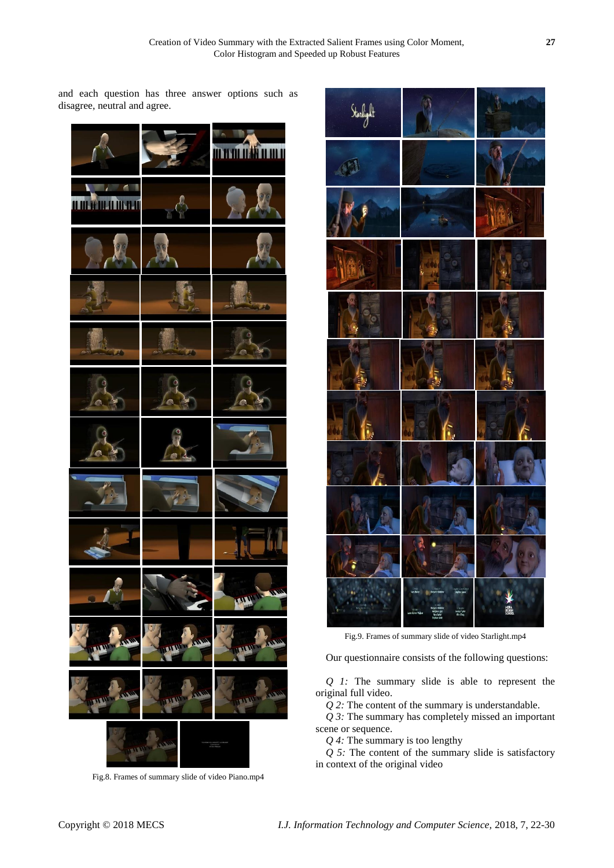and each question has three answer options such as disagree, neutral and agree.







Fig.9. Frames of summary slide of video Starlight.mp4

Our questionnaire consists of the following questions:

*Q 1:* The summary slide is able to represent the original full video.

*Q 2:* The content of the summary is understandable.

*Q 3:* The summary has completely missed an important scene or sequence.

*Q 4:* The summary is too lengthy

*Q 5:* The content of the summary slide is satisfactory in context of the original video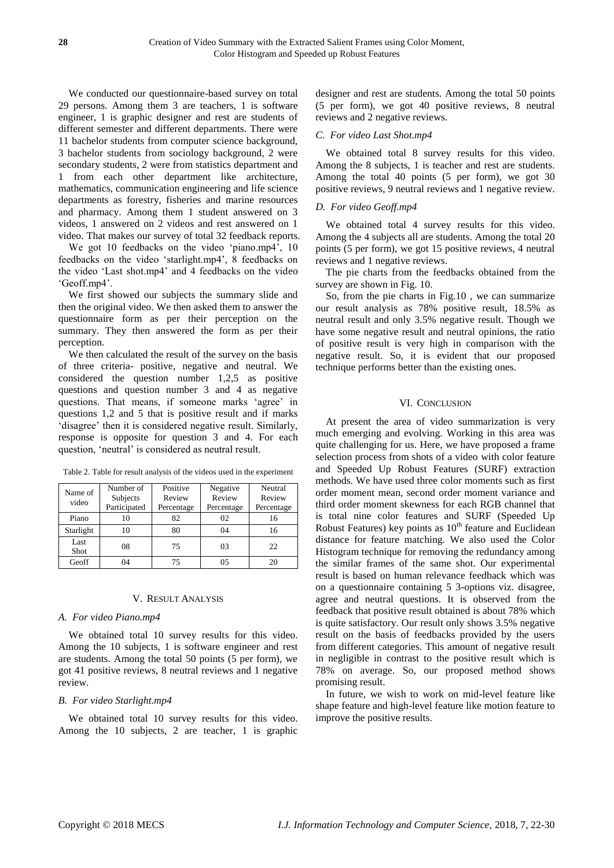We conducted our questionnaire-based survey on total 29 persons. Among them 3 are teachers, 1 is software engineer, 1 is graphic designer and rest are students of different semester and different departments. There were 11 bachelor students from computer science background, 3 bachelor students from sociology background, 2 were secondary students, 2 were from statistics department and 1 from each other department like architecture, mathematics, communication engineering and life science departments as forestry, fisheries and marine resources and pharmacy. Among them 1 student answered on 3 videos, 1 answered on 2 videos and rest answered on 1 video. That makes our survey of total 32 feedback reports.

We got 10 feedbacks on the video 'piano.mp4', 10 feedbacks on the video 'starlight.mp4', 8 feedbacks on the video 'Last shot.mp4' and 4 feedbacks on the video 'Geoff.mp4'.

We first showed our subjects the summary slide and then the original video. We then asked them to answer the questionnaire form as per their perception on the summary. They then answered the form as per their perception.

We then calculated the result of the survey on the basis of three criteria- positive, negative and neutral. We considered the question number 1,2,5 as positive questions and question number 3 and 4 as negative questions. That means, if someone marks 'agree' in questions 1,2 and 5 that is positive result and if marks 'disagree' then it is considered negative result. Similarly, response is opposite for question 3 and 4. For each question, 'neutral' is considered as neutral result.

| Name of<br>video | Number of<br>Subjects<br>Participated | Positive<br>Review<br>Percentage | Negative<br>Review<br>Percentage | Neutral<br>Review<br>Percentage |
|------------------|---------------------------------------|----------------------------------|----------------------------------|---------------------------------|
| Piano            |                                       | 82                               | 02                               | 16                              |
| Starlight        | 10                                    | 80                               | 04                               | 16                              |
| Last<br>Shot     | 08                                    | 75                               | 03                               | 22.                             |
| Geoff            | 04                                    | 75                               | 05                               | 20                              |

Table 2. Table for result analysis of the videos used in the experiment

#### V. RESULT ANALYSIS

#### *A. For video Piano.mp4*

We obtained total 10 survey results for this video. Among the 10 subjects, 1 is software engineer and rest are students. Among the total 50 points (5 per form), we got 41 positive reviews, 8 neutral reviews and 1 negative review.

#### *B. For video Starlight.mp4*

We obtained total 10 survey results for this video. Among the 10 subjects, 2 are teacher, 1 is graphic designer and rest are students. Among the total 50 points (5 per form), we got 40 positive reviews, 8 neutral reviews and 2 negative reviews.

#### *C. For video Last Shot.mp4*

We obtained total 8 survey results for this video. Among the 8 subjects, 1 is teacher and rest are students. Among the total 40 points (5 per form), we got 30 positive reviews, 9 neutral reviews and 1 negative review.

### *D. For video Geoff.mp4*

We obtained total 4 survey results for this video. Among the 4 subjects all are students. Among the total 20 points (5 per form), we got 15 positive reviews, 4 neutral reviews and 1 negative reviews.

The pie charts from the feedbacks obtained from the survey are shown in Fig. 10.

So, from the pie charts in Fig.10 , we can summarize our result analysis as 78% positive result, 18.5% as neutral result and only 3.5% negative result. Though we have some negative result and neutral opinions, the ratio of positive result is very high in comparison with the negative result. So, it is evident that our proposed technique performs better than the existing ones.

## VI. CONCLUSION

At present the area of video summarization is very much emerging and evolving. Working in this area was quite challenging for us. Here, we have proposed a frame selection process from shots of a video with color feature and Speeded Up Robust Features (SURF) extraction methods. We have used three color moments such as first order moment mean, second order moment variance and third order moment skewness for each RGB channel that is total nine color features and SURF (Speeded Up Robust Features) key points as  $10<sup>th</sup>$  feature and Euclidean distance for feature matching. We also used the Color Histogram technique for removing the redundancy among the similar frames of the same shot. Our experimental result is based on human relevance feedback which was on a questionnaire containing 5 3-options viz. disagree, agree and neutral questions. It is observed from the feedback that positive result obtained is about 78% which is quite satisfactory. Our result only shows 3.5% negative result on the basis of feedbacks provided by the users from different categories. This amount of negative result in negligible in contrast to the positive result which is 78% on average. So, our proposed method shows promising result.

In future, we wish to work on mid-level feature like shape feature and high-level feature like motion feature to improve the positive results.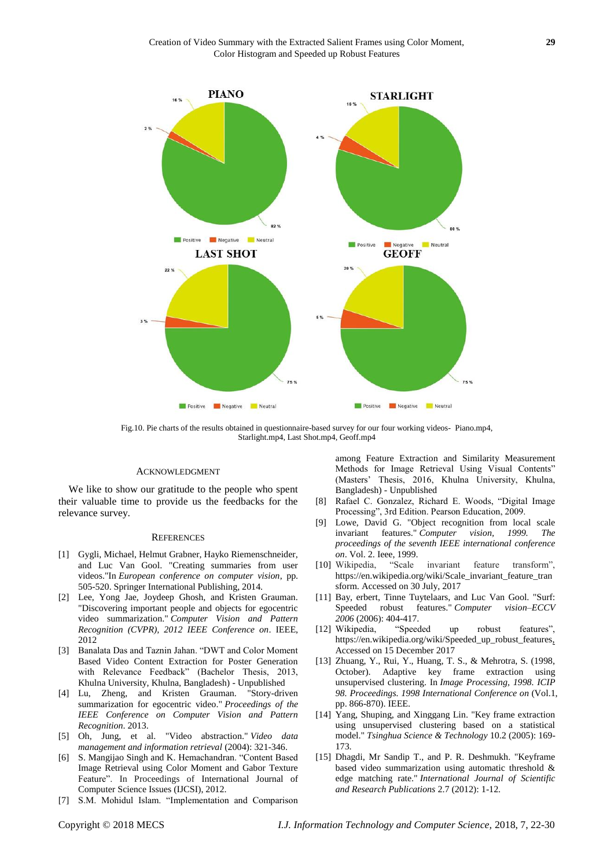

Fig.10. Pie charts of the results obtained in questionnaire-based survey for our four working videos- Piano.mp4, Starlight.mp4, Last Shot.mp4, Geoff.mp4

#### ACKNOWLEDGMENT

We like to show our gratitude to the people who spent their valuable time to provide us the feedbacks for the relevance survey.

#### **REFERENCES**

- [1] Gygli, Michael, Helmut Grabner, Hayko Riemenschneider, and Luc Van Gool. "Creating summaries from user videos."In *European conference on computer vision*, pp. 505-520. Springer International Publishing, 2014.
- [2] Lee, Yong Jae, Joydeep Ghosh, and Kristen Grauman. "Discovering important people and objects for egocentric video summarization." *Computer Vision and Pattern Recognition (CVPR), 2012 IEEE Conference on*. IEEE, 2012
- [3] Banalata Das and Taznin Jahan. "DWT and Color Moment Based Video Content Extraction for Poster Generation with Relevance Feedback" (Bachelor Thesis, 2013, Khulna University, Khulna, Bangladesh) - Unpublished
- [4] Lu, Zheng, and Kristen Grauman. "Story-driven summarization for egocentric video." *Proceedings of the IEEE Conference on Computer Vision and Pattern Recognition*. 2013.
- [5] Oh, Jung, et al. "Video abstraction." *Video data management and information retrieval* (2004): 321-346.
- [6] S. Mangijao Singh and K. Hemachandran. "Content Based Image Retrieval using Color Moment and Gabor Texture Feature". In Proceedings of International Journal of Computer Science Issues (IJCSI), 2012.
- [7] S.M. Mohidul Islam. "Implementation and Comparison

among Feature Extraction and Similarity Measurement Methods for Image Retrieval Using Visual Contents" (Masters' Thesis, 2016, Khulna University, Khulna, Bangladesh) - Unpublished

- [8] Rafael C. Gonzalez, Richard E. Woods, "Digital Image Processing", 3rd Edition. Pearson Education, 2009.
- [9] Lowe, David G. "Object recognition from local scale invariant features." *Computer vision, 1999. The proceedings of the seventh IEEE international conference on*. Vol. 2. Ieee, 1999.
- [10] Wikipedia, "Scale invariant feature transform", https://en.wikipedia.org/wiki/Scale\_invariant\_feature\_tran sform. Accessed on 30 July, 2017
- [11] Bay, erbert, Tinne Tuytelaars, and Luc Van Gool. "Surf: Speeded robust features." *Computer vision–ECCV 2006* (2006): 404-417.
- [12] Wikipedia, "Speeded up robust features", https://en.wikipedia.org/wiki/Speeded\_up\_robust\_features, Accessed on 15 December 2017
- [13] Zhuang, Y., Rui, Y., Huang, T. S., & Mehrotra, S. (1998, October). Adaptive key frame extraction using unsupervised clustering. In *Image Processing, 1998. ICIP 98. Proceedings. 1998 International Conference on* (Vol.1, pp. 866-870). IEEE.
- [14] Yang, Shuping, and Xinggang Lin. "Key frame extraction using unsupervised clustering based on a statistical model." *Tsinghua Science & Technology* 10.2 (2005): 169- 173.
- [15] Dhagdi, Mr Sandip T., and P. R. Deshmukh. "Keyframe based video summarization using automatic threshold & edge matching rate." *International Journal of Scientific and Research Publications* 2.7 (2012): 1-12.